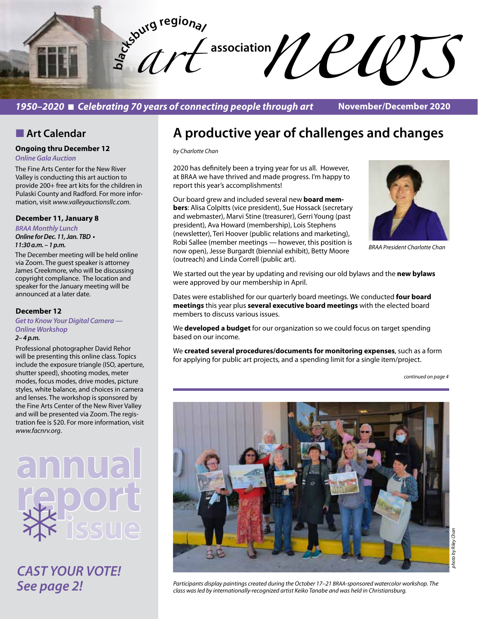**bla** *art*   $\sim$  association  $\mathcal{U}\ell\ell\ell\mathcal{U}$ 

*1950–2020* n *Celebrating 70 years of connecting people through art*

**November/December 2020**

### **n** Art Calendar

**Ongoing thru December 12** *Online Gala Auction*

The Fine Arts Center for the New River Valley is conducting this art auction to provide 200+ free art kits for the children in Pulaski County and Radford. For more information, visit *www.valleyauctionsllc.com*.

#### **December 11, January 8**

*BRAA Monthly Lunch* **Online for Dec. 11, Jan. TBD •**  *11:30 a.m. – 1 p.m.* 

The December meeting will be held online via Zoom. The guest speaker is attorney James Creekmore, who will be discussing copyright compliance. The location and speaker for the January meeting will be announced at a later date.

#### **December 12**

#### *Get to Know Your Digital Camera — Online Workshop*

### *2– 4 p.m.*

Professional photographer David Rehor will be presenting this online class. Topics include the exposure triangle (ISO, aperture, shutter speed), shooting modes, meter modes, focus modes, drive modes, picture styles, white balance, and choices in camera and lenses. The workshop is sponsored by the Fine Arts Center of the New River Valley and will be presented via Zoom. The registration fee is \$20. For more information, visit *www.facnrv.org*.



*CAST YOUR VOTE! See page 2!*

# **A productive year of challenges and changes**

*by Charlotte Chan*

2020 has definitely been a trying year for us all. However, at BRAA we have thrived and made progress. I'm happy to report this year's accomplishments!

Our board grew and included several new **board members**: Alisa Colpitts (vice president), Sue Hossack (secretary and webmaster), Marvi Stine (treasurer), Gerri Young (past president), Ava Howard (membership), Lois Stephens (newsletter), Teri Hoover (public relations and marketing), Robi Sallee (member meetings — however, this position is now open), Jesse Burgardt (biennial exhibit), Betty Moore (outreach) and Linda Correll (public art).



*BRAA President Charlotte Chan*

We started out the year by updating and revising our old bylaws and the **new bylaws** were approved by our membership in April.

Dates were established for our quarterly board meetings. We conducted **four board meetings** this year plus **several executive board meetings** with the elected board members to discuss various issues.

We **developed a budget** for our organization so we could focus on target spending based on our income.

We **created several procedures/documents for monitoring expenses**, such as a form for applying for public art projects, and a spending limit for a single item/project.

*continued on page 4*

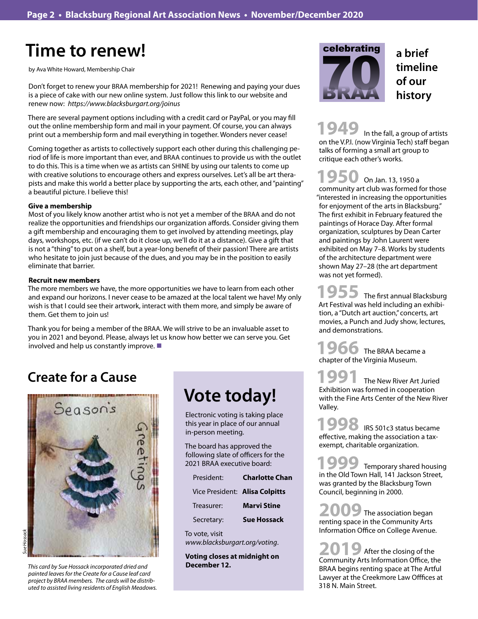# **Time to renew!**

by Ava White Howard, Membership Chair

Don't forget to renew your BRAA membership for 2021! Renewing and paying your dues is a piece of cake with our new online system. Just follow this link to our website and renew now: *https://www.blacksburgart.org/joinus*

There are several payment options including with a credit card or PayPal, or you may fill out the online membership form and mail in your payment. Of course, you can always print out a membership form and mail everything in together. Wonders never cease!

Coming together as artists to collectively support each other during this challenging period of life is more important than ever, and BRAA continues to provide us with the outlet to do this. This is a time when we as artists can SHINE by using our talents to come up with creative solutions to encourage others and express ourselves. Let's all be art therapists and make this world a better place by supporting the arts, each other, and "painting" a beautiful picture. I believe this!

#### **Give a membership**

Most of you likely know another artist who is not yet a member of the BRAA and do not realize the opportunities and friendships our organization affords. Consider giving them a gift membership and encouraging them to get involved by attending meetings, play days, workshops, etc. (if we can't do it close up, we'll do it at a distance). Give a gift that is not a "thing" to put on a shelf, but a year-long benefit of their passion! There are artists who hesitate to join just because of the dues, and you may be in the position to easily eliminate that barrier.

#### **Recruit new members**

The more members we have, the more opportunities we have to learn from each other and expand our horizons. I never cease to be amazed at the local talent we have! My only wish is that I could see their artwork, interact with them more, and simply be aware of them. Get them to join us!

Thank you for being a member of the BRAA. We will strive to be an invaluable asset to you in 2021 and beyond. Please, always let us know how better we can serve you. Get involved and help us constantly improve.  $\blacksquare$ 

# **Create for a Cause**



*This card by Sue Hossack incorporated dried and* **December 12.** *painted leaves for the Create for a Cause leaf card project by BRAA members. The cards will be distributed to assisted living residents of English Meadows.*

# **Vote today!**

Electronic voting is taking place this year in place of our annual in-person meeting.

The board has approved the following slate of officers for the 2021 BRAA executive board:

| President:                     | <b>Charlotte Chan</b> |
|--------------------------------|-----------------------|
| Vice President: Alisa Colpitts |                       |
| Treasurer:                     | Marvi Stine           |
| Secretary:                     | <b>Sue Hossack</b>    |
|                                |                       |

To vote, visit *www.blacksburgart.org/voting*.

**Voting closes at midnight on** 



 In the fall, a group of artists on the V.P.I. (now Virginia Tech) staff began talks of forming a small art group to critique each other's works. **1949**

 On Jan. 13, 1950 a 1950 On Jan. 13, 1950 a<br>community art club was formed for those "interested in increasing the opportunities for enjoyment of the arts in Blacksburg." The first exhibit in February featured the paintings of Horace Day. After formal organization, sculptures by Dean Carter and paintings by John Laurent were exhibited on May 7–8. Works by students of the architecture department were shown May 27–28 (the art department was not yet formed).

1955 The first annual Blacksburg Art Festival was held including an exhibition, a "Dutch art auction," concerts, art movies, a Punch and Judy show, lectures, and demonstrations.

The BRAA became a 1966 The BRAA becam<br>
chapter of the Virginia Museum.

The New River Art Juried Exhibition was formed in cooperation with the Fine Arts Center of the New River Valley. **1991**

IRS 501c3 status became effective, making the association a taxexempt, charitable organization. **1998**

Temporary shared housing **1999** Temporary shared housin<br>in the Old Town Hall, 141 Jackson Street, was granted by the Blacksburg Town Council, beginning in 2000.

The association began 2009 The association began<br>
renting space in the Community Arts Information Office on College Avenue.

After the closing of the 2019 After the closing of the Community Arts Information Office, the BRAA begins renting space at The Artful Lawyer at the Creekmore Law Offfices at 318 N. Main Street.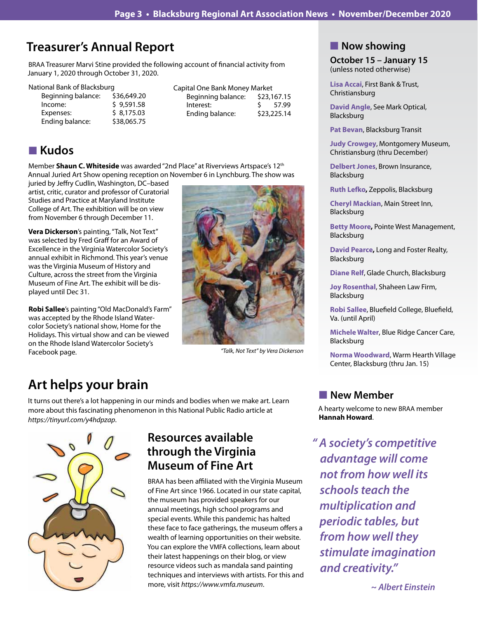# **Treasurer's Annual Report**

BRAA Treasurer Marvi Stine provided the following account of financial activity from January 1, 2020 through October 31, 2020.

National Bank of Blacksburg

| Beginning balance: | \$36,649.20 |
|--------------------|-------------|
| Income:            | \$9,591.58  |
| Expenses:          | \$8.175.03  |
| Ending balance:    | \$38,065.75 |
|                    |             |

#### Capital One Bank Money Market Beginning balance: \$23,167.15 Interest: \$ 57.99 Ending balance: \$23,225.14

# n **Kudos**

Member **Shaun C. Whiteside** was awarded "2nd Place" at Riverviews Artspace's 12th Annual Juried Art Show opening reception on November 6 in Lynchburg. The show was

juried by Jeffry Cudlin, Washington, DC–based artist, critic, curator and professor of Curatorial Studies and Practice at Maryland Institute College of Art. The exhibition will be on view from November 6 through December 11.

**Vera Dickerson**'s painting, "Talk, Not Text" was selected by Fred Graff for an Award of Excellence in the Virginia Watercolor Society's annual exhibit in Richmond. This year's venue was the Virginia Museum of History and Culture, across the street from the Virginia Museum of Fine Art. The exhibit will be displayed until Dec 31.

**Robi Sallee**'s painting "Old MacDonald's Farm" was accepted by the Rhode Island Watercolor Society's national show, Home for the Holidays. This virtual show and can be viewed on the Rhode Island Watercolor Society's Facebook page.



*"Talk, Not Text" by Vera Dickerson*

# **Art helps your brain**

It turns out there's a lot happening in our minds and bodies when we make art. Learn more about this fascinating phenomenon in this National Public Radio article at *https://tinyurl.com/y4hdpzap*.



## **Resources available through the Virginia Museum of Fine Art**

BRAA has been affiliated with the Virginia Museum of Fine Art since 1966. Located in our state capital, the museum has provided speakers for our annual meetings, high school programs and special events. While this pandemic has halted these face to face gatherings, the museum offers a wealth of learning opportunities on their website. You can explore the VMFA collections, learn about their latest happenings on their blog, or view resource videos such as mandala sand painting techniques and interviews with artists. For this and more, visit *https://www.vmfa.museum*.

### **Now showing**

**October 15 – January 15** (unless noted otherwise)

**Lisa Accai**, First Bank & Trust, Christiansburg

**David Angle**, See Mark Optical, Blacksburg

**Pat Bevan**, Blacksburg Transit

**Judy Crowgey**, Montgomery Museum, Christiansburg (thru December)

**Delbert Jones**, Brown Insurance, Blacksburg

**Ruth Lefko,** Zeppolis, Blacksburg

**Cheryl Mackian**, Main Street Inn, Blacksburg

**Betty Moore,** Pointe West Management, Blacksburg

**David Pearce,** Long and Foster Realty, Blacksburg

**Diane Relf**, Glade Church, Blacksburg

**Joy Rosenthal**, Shaheen Law Firm, Blacksburg

**Robi Sallee**, Bluefield College, Bluefield, Va. (until April)

**Michele Walter**, Blue Ridge Cancer Care, Blacksburg

**Norma Woodward**, Warm Hearth Village Center, Blacksburg (thru Jan. 15)

### **New Member**

A hearty welcome to new BRAA member **Hannah Howard**.

*" A society's competitive advantage will come not from how well its schools teach the multiplication and periodic tables, but from how well they stimulate imagination and creativity."* 

 *~ Albert Einstein*